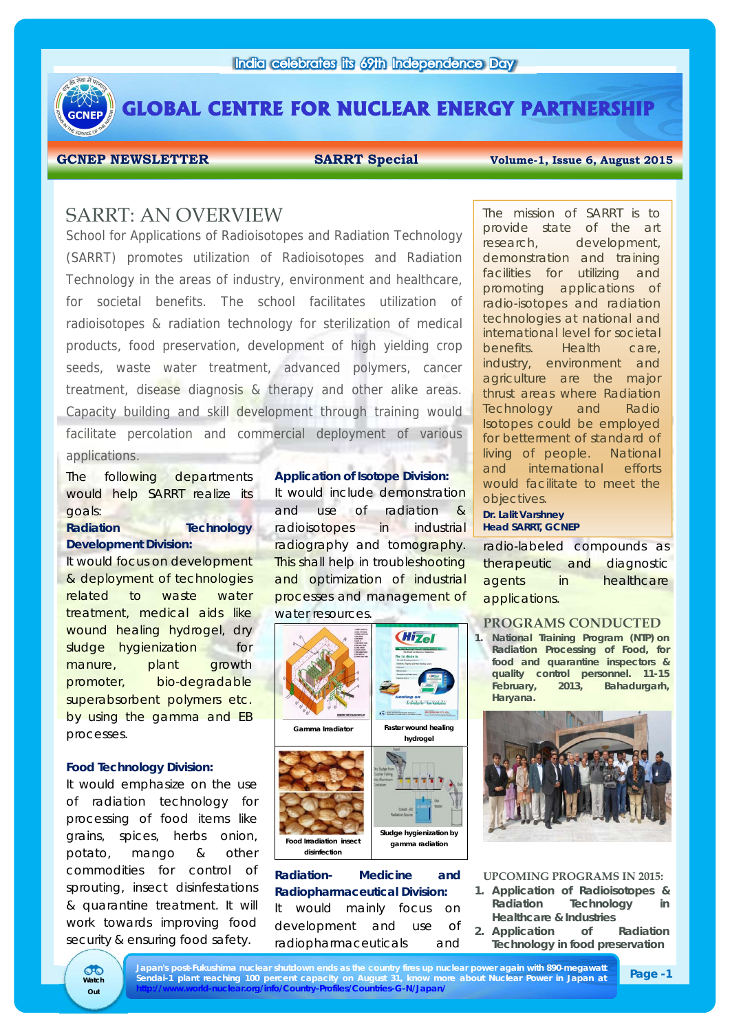

**GLOBAL CENTRE FOR NUCLEAR ENERGY PARTNERSHIP** 

GCNEP NEWSLETTER **SARRT Special** Volume-1, Issue 6, August 2015

# SARRT: AN OVERVIEW

School for Applications of Radioisotopes and Radiation Technology (SARRT) promotes utilization of Radioisotopes and Radiation Technology in the areas of industry, environment and healthcare, for societal benefits. The school facilitates utilization of radioisotopes & radiation technology for sterilization of medical products, food preservation, development of high yielding crop seeds, waste water treatment, advanced polymers, cancer treatment, disease diagnosis & therapy and other alike areas. Capacity building and skill development through training would facilitate percolation and commercial deployment of various applications.

The following departments would help SARRT realize its goals:

## **Radiation Technology Development Division:**

It would focus on development & deployment of technologies related to waste water treatment, medical aids like wound healing hydrogel, dry sludge hygienization for manure, plant growth promoter, bio-degradable superabsorbent polymers etc. by using the gamma and EB processes.

## **Food Technology Division:**

It would emphasize on the use of radiation technology for processing of food items like grains, spices, herbs onion, potato, mango & other commodities for control of sprouting, insect disinfestations & quarantine treatment. It will work towards improving food security & ensuring food safety.

## **Application of Isotope Division:**

It would include demonstration and use of radiation radioisotopes in industrial radiography and tomography. This shall help in troubleshooting and optimization of industrial processes and management of water resources.



## **Radiation- Medicine and Radiopharmaceutical Division:**

It would mainly focus on development and use of radiopharmaceuticals and

The mission of SARRT is to provide state of the art research, development, demonstration and training facilities for utilizing and promoting applications of radio-isotopes and radiation technologies at national and international level for societal benefits. Health care, industry, environment and agriculture are the major thrust areas where Radiation Technology and Radio Isotopes could be employed for betterment of standard of living of people. National and international efforts would facilitate to meet the objectives.

**Dr. Lalit Varshney Head SARRT, GCNEP** 

radio-labeled compounds as therapeutic and diagnostic agents in healthcare applications.

## **PROGRAMS CONDUCTED**

**1. National Training Program (NTP) on Radiation Processing of Food, for food and quarantine inspectors & quality control personnel. 11-15 February, 2013, Bahadurgarh, Haryana.**



### **UPCOMING PROGRAMS IN 2015:**

- **1. Application of Radioisotopes & Radiation Technology in Healthcare & Industries**
- **2. Application of Radiation Technology in food preservation**

đħ **Watch Out**